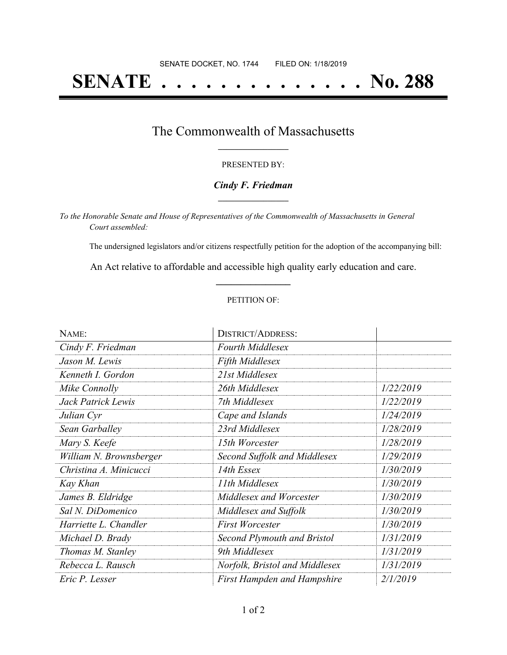# **SENATE . . . . . . . . . . . . . . No. 288**

### The Commonwealth of Massachusetts **\_\_\_\_\_\_\_\_\_\_\_\_\_\_\_\_\_**

#### PRESENTED BY:

#### *Cindy F. Friedman* **\_\_\_\_\_\_\_\_\_\_\_\_\_\_\_\_\_**

*To the Honorable Senate and House of Representatives of the Commonwealth of Massachusetts in General Court assembled:*

The undersigned legislators and/or citizens respectfully petition for the adoption of the accompanying bill:

An Act relative to affordable and accessible high quality early education and care. **\_\_\_\_\_\_\_\_\_\_\_\_\_\_\_**

#### PETITION OF:

| NAME:                   | <b>DISTRICT/ADDRESS:</b>           |           |
|-------------------------|------------------------------------|-----------|
| Cindy F. Friedman       | <b>Fourth Middlesex</b>            |           |
| Jason M. Lewis          | <b>Fifth Middlesex</b>             |           |
| Kenneth I. Gordon       | 21st Middlesex                     |           |
| Mike Connolly           | 26th Middlesex                     | 1/22/2019 |
| Jack Patrick Lewis      | 7th Middlesex                      | 1/22/2019 |
| Julian Cyr              | Cape and Islands                   | 1/24/2019 |
| Sean Garballey          | 23rd Middlesex                     | 1/28/2019 |
| Mary S. Keefe           | 15th Worcester                     | 1/28/2019 |
| William N. Brownsberger | Second Suffolk and Middlesex       | 1/29/2019 |
| Christina A. Minicucci  | 14th Essex                         | 1/30/2019 |
| Kay Khan                | 11th Middlesex                     | 1/30/2019 |
| James B. Eldridge       | Middlesex and Worcester            | 1/30/2019 |
| Sal N. DiDomenico       | Middlesex and Suffolk              | 1/30/2019 |
| Harriette L. Chandler   | <b>First Worcester</b>             | 1/30/2019 |
| Michael D. Brady        | Second Plymouth and Bristol        | 1/31/2019 |
| Thomas M. Stanley       | 9th Middlesex                      | 1/31/2019 |
| Rebecca L. Rausch       | Norfolk, Bristol and Middlesex     | 1/31/2019 |
| Eric P. Lesser          | <b>First Hampden and Hampshire</b> | 2/1/2019  |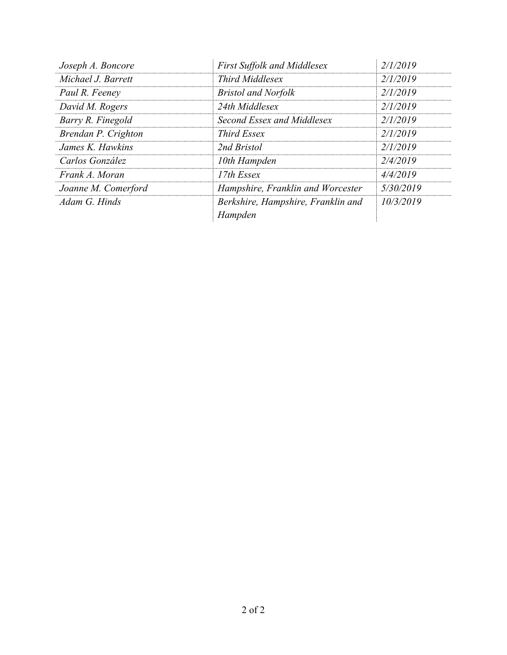| Joseph A. Boncore   | <b>First Suffolk and Middlesex</b> | 2/1/2019  |
|---------------------|------------------------------------|-----------|
| Michael J. Barrett  | <b>Third Middlesex</b>             | 2/1/2019  |
| Paul R. Feeney      | <b>Bristol and Norfolk</b>         | 2/1/2019  |
| David M. Rogers     | 24th Middlesex                     | 2/1/2019  |
| Barry R. Finegold   | Second Essex and Middlesex         | 2/1/2019  |
| Brendan P. Crighton | Third Essex                        | 2/1/2019  |
| James K. Hawkins    | 2nd Bristol                        | 2/1/2019  |
| Carlos González     | 10th Hampden                       | 2/4/2019  |
| Frank A. Moran      | 17th Essex                         | 4/4/2019  |
| Joanne M. Comerford | Hampshire, Franklin and Worcester  | 5/30/2019 |
| Adam G. Hinds       | Berkshire, Hampshire, Franklin and | 10/3/2019 |
|                     | Hampden                            |           |